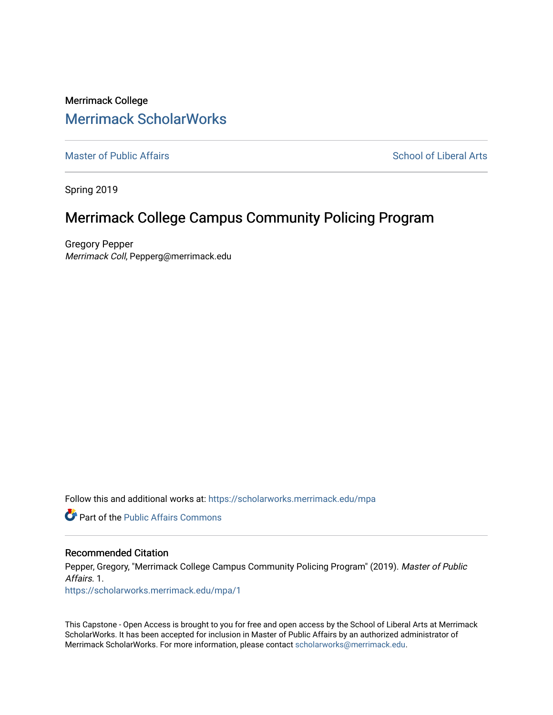Merrimack College [Merrimack ScholarWorks](https://scholarworks.merrimack.edu/) 

[Master of Public Affairs](https://scholarworks.merrimack.edu/mpa) [School of Liberal Arts](https://scholarworks.merrimack.edu/sla) School of Liberal Arts

Spring 2019

# Merrimack College Campus Community Policing Program

Gregory Pepper Merrimack Coll, Pepperg@merrimack.edu

Follow this and additional works at: [https://scholarworks.merrimack.edu/mpa](https://scholarworks.merrimack.edu/mpa?utm_source=scholarworks.merrimack.edu%2Fmpa%2F1&utm_medium=PDF&utm_campaign=PDFCoverPages)

**Part of the Public Affairs Commons** 

#### Recommended Citation

Pepper, Gregory, "Merrimack College Campus Community Policing Program" (2019). Master of Public Affairs. 1.

[https://scholarworks.merrimack.edu/mpa/1](https://scholarworks.merrimack.edu/mpa/1?utm_source=scholarworks.merrimack.edu%2Fmpa%2F1&utm_medium=PDF&utm_campaign=PDFCoverPages)

This Capstone - Open Access is brought to you for free and open access by the School of Liberal Arts at Merrimack ScholarWorks. It has been accepted for inclusion in Master of Public Affairs by an authorized administrator of Merrimack ScholarWorks. For more information, please contact [scholarworks@merrimack.edu](mailto:scholarworks@merrimack.edu).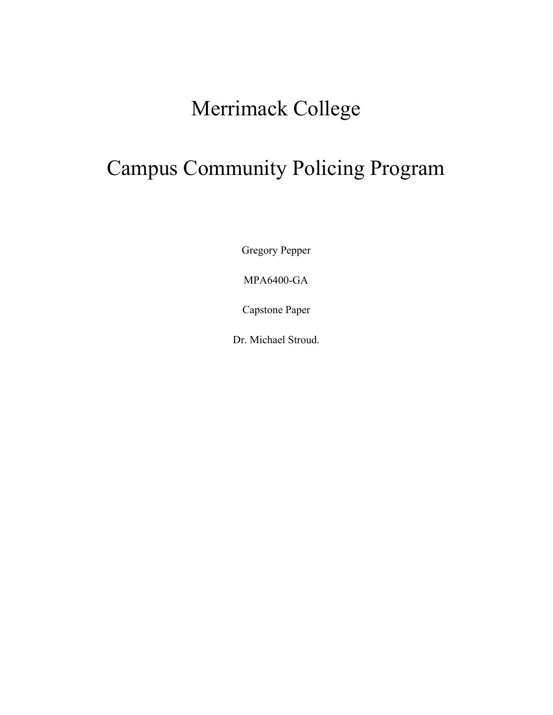# Merrimack College

# Campus Community Policing Program

Gregory Pepper

MPA6400-GA

Capstone Paper

Dr. Michael Stroud.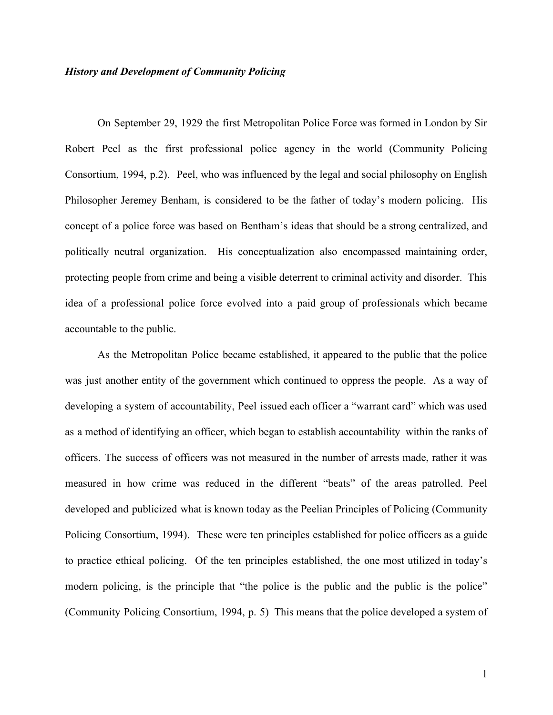### *History and Development of Community Policing*

On September 29, 1929 the first Metropolitan Police Force was formed in London by Sir Robert Peel as the first professional police agency in the world (Community Policing Consortium, 1994, p.2). Peel, who was influenced by the legal and social philosophy on English Philosopher Jeremey Benham, is considered to be the father of today's modern policing. His concept of a police force was based on Bentham's ideas that should be a strong centralized, and politically neutral organization. His conceptualization also encompassed maintaining order, protecting people from crime and being a visible deterrent to criminal activity and disorder. This idea of a professional police force evolved into a paid group of professionals which became accountable to the public.

As the Metropolitan Police became established, it appeared to the public that the police was just another entity of the government which continued to oppress the people. As a way of developing a system of accountability, Peel issued each officer a "warrant card" which was used as a method of identifying an officer, which began to establish accountability within the ranks of officers. The success of officers was not measured in the number of arrests made, rather it was measured in how crime was reduced in the different "beats" of the areas patrolled. Peel developed and publicized what is known today as the Peelian Principles of Policing (Community Policing Consortium, 1994). These were ten principles established for police officers as a guide to practice ethical policing. Of the ten principles established, the one most utilized in today's modern policing, is the principle that "the police is the public and the public is the police" (Community Policing Consortium, 1994, p. 5) This means that the police developed a system of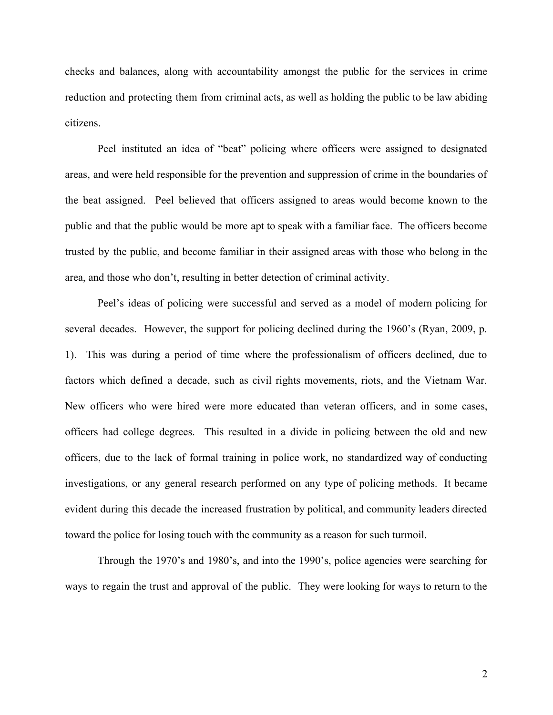checks and balances, along with accountability amongst the public for the services in crime reduction and protecting them from criminal acts, as well as holding the public to be law abiding citizens.

Peel instituted an idea of "beat" policing where officers were assigned to designated areas, and were held responsible for the prevention and suppression of crime in the boundaries of the beat assigned. Peel believed that officers assigned to areas would become known to the public and that the public would be more apt to speak with a familiar face. The officers become trusted by the public, and become familiar in their assigned areas with those who belong in the area, and those who don't, resulting in better detection of criminal activity.

Peel's ideas of policing were successful and served as a model of modern policing for several decades. However, the support for policing declined during the 1960's (Ryan, 2009, p. 1). This was during a period of time where the professionalism of officers declined, due to factors which defined a decade, such as civil rights movements, riots, and the Vietnam War. New officers who were hired were more educated than veteran officers, and in some cases, officers had college degrees. This resulted in a divide in policing between the old and new officers, due to the lack of formal training in police work, no standardized way of conducting investigations, or any general research performed on any type of policing methods. It became evident during this decade the increased frustration by political, and community leaders directed toward the police for losing touch with the community as a reason for such turmoil.

Through the 1970's and 1980's, and into the 1990's, police agencies were searching for ways to regain the trust and approval of the public. They were looking for ways to return to the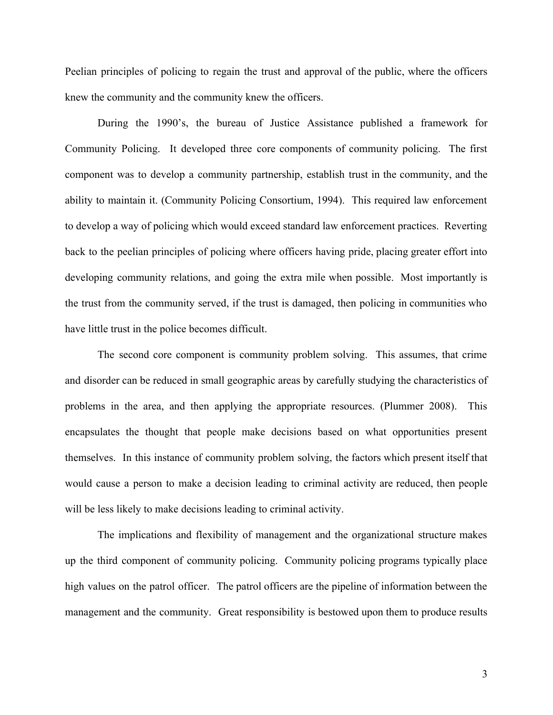Peelian principles of policing to regain the trust and approval of the public, where the officers knew the community and the community knew the officers.

During the 1990's, the bureau of Justice Assistance published a framework for Community Policing. It developed three core components of community policing. The first component was to develop a community partnership, establish trust in the community, and the ability to maintain it. (Community Policing Consortium, 1994). This required law enforcement to develop a way of policing which would exceed standard law enforcement practices. Reverting back to the peelian principles of policing where officers having pride, placing greater effort into developing community relations, and going the extra mile when possible. Most importantly is the trust from the community served, if the trust is damaged, then policing in communities who have little trust in the police becomes difficult.

The second core component is community problem solving. This assumes, that crime and disorder can be reduced in small geographic areas by carefully studying the characteristics of problems in the area, and then applying the appropriate resources. (Plummer 2008). This encapsulates the thought that people make decisions based on what opportunities present themselves. In this instance of community problem solving, the factors which present itself that would cause a person to make a decision leading to criminal activity are reduced, then people will be less likely to make decisions leading to criminal activity.

The implications and flexibility of management and the organizational structure makes up the third component of community policing. Community policing programs typically place high values on the patrol officer. The patrol officers are the pipeline of information between the management and the community. Great responsibility is bestowed upon them to produce results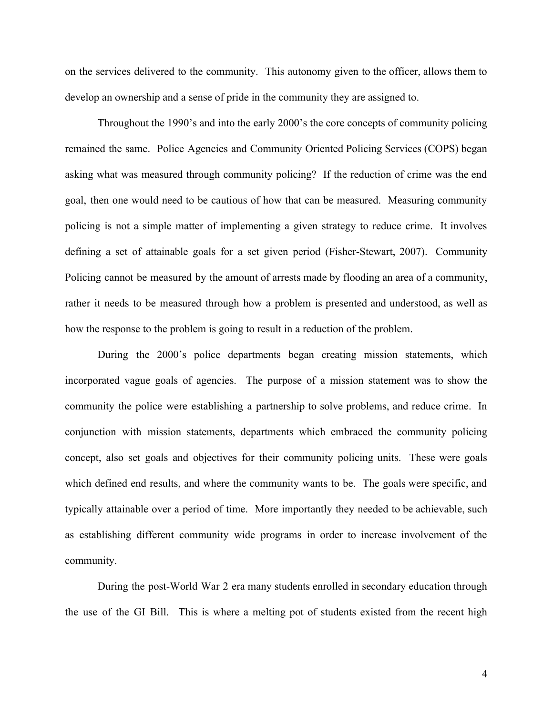on the services delivered to the community. This autonomy given to the officer, allows them to develop an ownership and a sense of pride in the community they are assigned to.

Throughout the 1990's and into the early 2000's the core concepts of community policing remained the same. Police Agencies and Community Oriented Policing Services (COPS) began asking what was measured through community policing? If the reduction of crime was the end goal, then one would need to be cautious of how that can be measured. Measuring community policing is not a simple matter of implementing a given strategy to reduce crime. It involves defining a set of attainable goals for a set given period (Fisher-Stewart, 2007). Community Policing cannot be measured by the amount of arrests made by flooding an area of a community, rather it needs to be measured through how a problem is presented and understood, as well as how the response to the problem is going to result in a reduction of the problem.

During the 2000's police departments began creating mission statements, which incorporated vague goals of agencies. The purpose of a mission statement was to show the community the police were establishing a partnership to solve problems, and reduce crime. In conjunction with mission statements, departments which embraced the community policing concept, also set goals and objectives for their community policing units. These were goals which defined end results, and where the community wants to be. The goals were specific, and typically attainable over a period of time. More importantly they needed to be achievable, such as establishing different community wide programs in order to increase involvement of the community.

During the post-World War 2 era many students enrolled in secondary education through the use of the GI Bill. This is where a melting pot of students existed from the recent high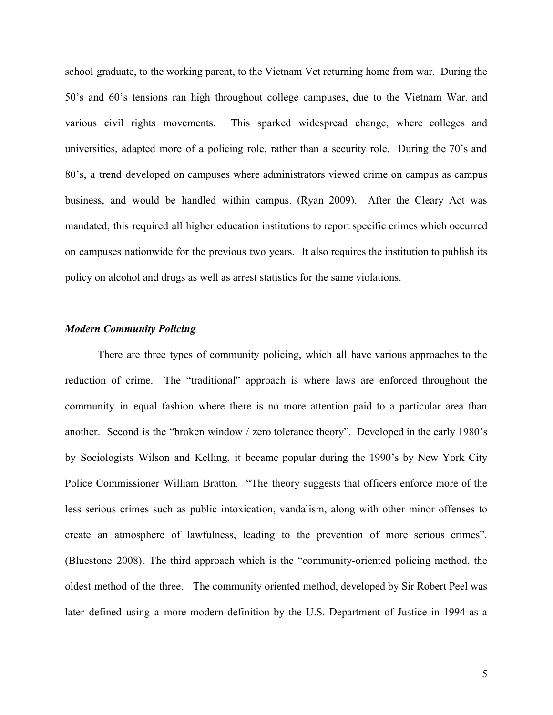school graduate, to the working parent, to the Vietnam Vet returning home from war. During the 50's and 60's tensions ran high throughout college campuses, due to the Vietnam War, and various civil rights movements. This sparked widespread change, where colleges and universities, adapted more of a policing role, rather than a security role. During the 70's and 80's, a trend developed on campuses where administrators viewed crime on campus as campus business, and would be handled within campus. (Ryan 2009). After the Cleary Act was mandated, this required all higher education institutions to report specific crimes which occurred on campuses nationwide for the previous two years. It also requires the institution to publish its policy on alcohol and drugs as well as arrest statistics for the same violations.

## *Modern Community Policing*

There are three types of community policing, which all have various approaches to the reduction of crime. The "traditional" approach is where laws are enforced throughout the community in equal fashion where there is no more attention paid to a particular area than another. Second is the "broken window / zero tolerance theory". Developed in the early 1980's by Sociologists Wilson and Kelling, it became popular during the 1990's by New York City Police Commissioner William Bratton. "The theory suggests that officers enforce more of the less serious crimes such as public intoxication, vandalism, along with other minor offenses to create an atmosphere of lawfulness, leading to the prevention of more serious crimes". (Bluestone 2008). The third approach which is the "community-oriented policing method, the oldest method of the three. The community oriented method, developed by Sir Robert Peel was later defined using a more modern definition by the U.S. Department of Justice in 1994 as a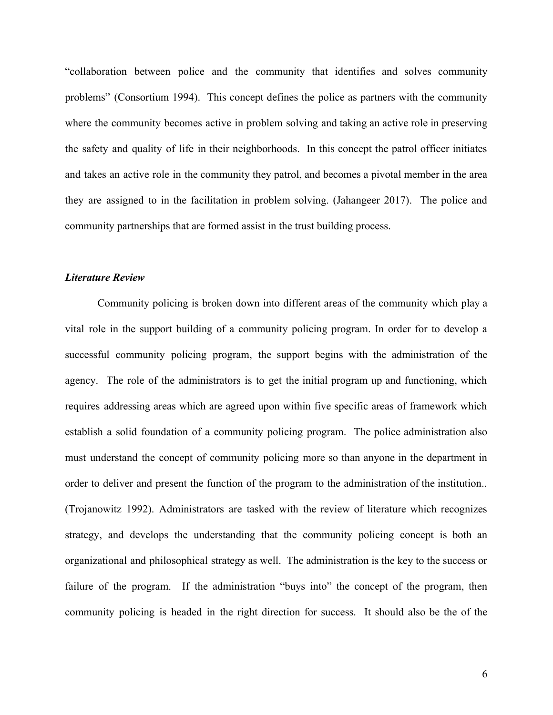"collaboration between police and the community that identifies and solves community problems" (Consortium 1994). This concept defines the police as partners with the community where the community becomes active in problem solving and taking an active role in preserving the safety and quality of life in their neighborhoods. In this concept the patrol officer initiates and takes an active role in the community they patrol, and becomes a pivotal member in the area they are assigned to in the facilitation in problem solving. (Jahangeer 2017). The police and community partnerships that are formed assist in the trust building process.

#### *Literature Review*

Community policing is broken down into different areas of the community which play a vital role in the support building of a community policing program. In order for to develop a successful community policing program, the support begins with the administration of the agency. The role of the administrators is to get the initial program up and functioning, which requires addressing areas which are agreed upon within five specific areas of framework which establish a solid foundation of a community policing program. The police administration also must understand the concept of community policing more so than anyone in the department in order to deliver and present the function of the program to the administration of the institution.. (Trojanowitz 1992). Administrators are tasked with the review of literature which recognizes strategy, and develops the understanding that the community policing concept is both an organizational and philosophical strategy as well. The administration is the key to the success or failure of the program. If the administration "buys into" the concept of the program, then community policing is headed in the right direction for success. It should also be the of the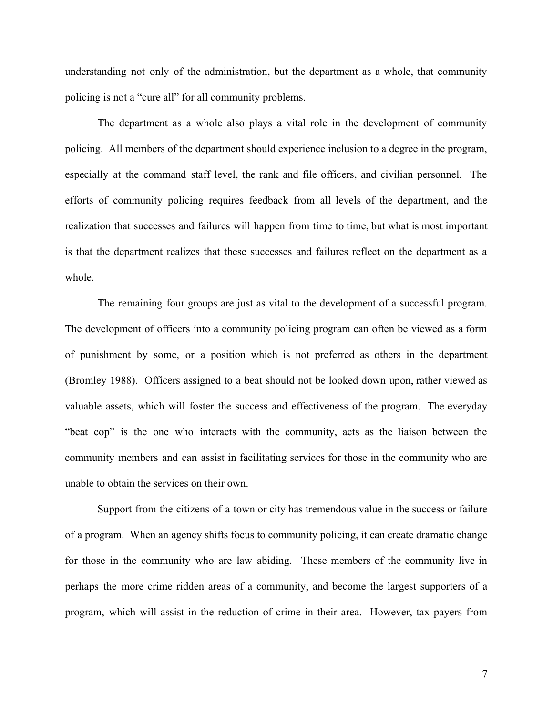understanding not only of the administration, but the department as a whole, that community policing is not a "cure all" for all community problems.

The department as a whole also plays a vital role in the development of community policing. All members of the department should experience inclusion to a degree in the program, especially at the command staff level, the rank and file officers, and civilian personnel. The efforts of community policing requires feedback from all levels of the department, and the realization that successes and failures will happen from time to time, but what is most important is that the department realizes that these successes and failures reflect on the department as a whole.

The remaining four groups are just as vital to the development of a successful program. The development of officers into a community policing program can often be viewed as a form of punishment by some, or a position which is not preferred as others in the department (Bromley 1988). Officers assigned to a beat should not be looked down upon, rather viewed as valuable assets, which will foster the success and effectiveness of the program. The everyday "beat cop" is the one who interacts with the community, acts as the liaison between the community members and can assist in facilitating services for those in the community who are unable to obtain the services on their own.

Support from the citizens of a town or city has tremendous value in the success or failure of a program. When an agency shifts focus to community policing, it can create dramatic change for those in the community who are law abiding. These members of the community live in perhaps the more crime ridden areas of a community, and become the largest supporters of a program, which will assist in the reduction of crime in their area. However, tax payers from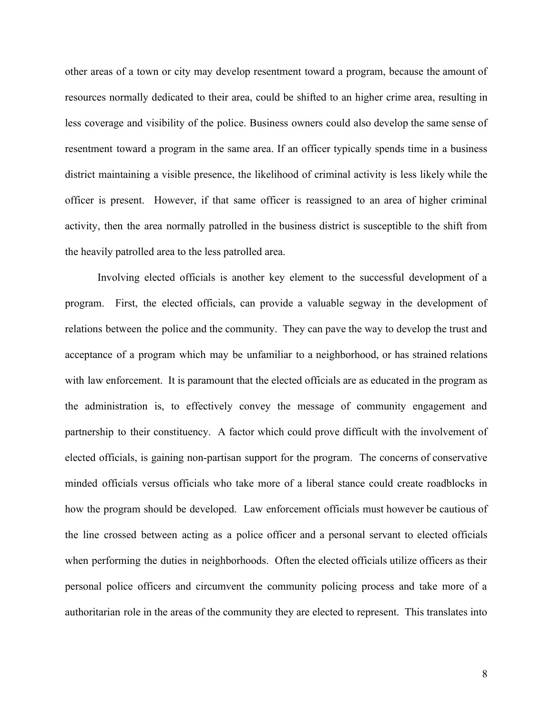other areas of a town or city may develop resentment toward a program, because the amount of resources normally dedicated to their area, could be shifted to an higher crime area, resulting in less coverage and visibility of the police. Business owners could also develop the same sense of resentment toward a program in the same area. If an officer typically spends time in a business district maintaining a visible presence, the likelihood of criminal activity is less likely while the officer is present. However, if that same officer is reassigned to an area of higher criminal activity, then the area normally patrolled in the business district is susceptible to the shift from the heavily patrolled area to the less patrolled area.

Involving elected officials is another key element to the successful development of a program. First, the elected officials, can provide a valuable segway in the development of relations between the police and the community. They can pave the way to develop the trust and acceptance of a program which may be unfamiliar to a neighborhood, or has strained relations with law enforcement. It is paramount that the elected officials are as educated in the program as the administration is, to effectively convey the message of community engagement and partnership to their constituency. A factor which could prove difficult with the involvement of elected officials, is gaining non-partisan support for the program. The concerns of conservative minded officials versus officials who take more of a liberal stance could create roadblocks in how the program should be developed. Law enforcement officials must however be cautious of the line crossed between acting as a police officer and a personal servant to elected officials when performing the duties in neighborhoods. Often the elected officials utilize officers as their personal police officers and circumvent the community policing process and take more of a authoritarian role in the areas of the community they are elected to represent. This translates into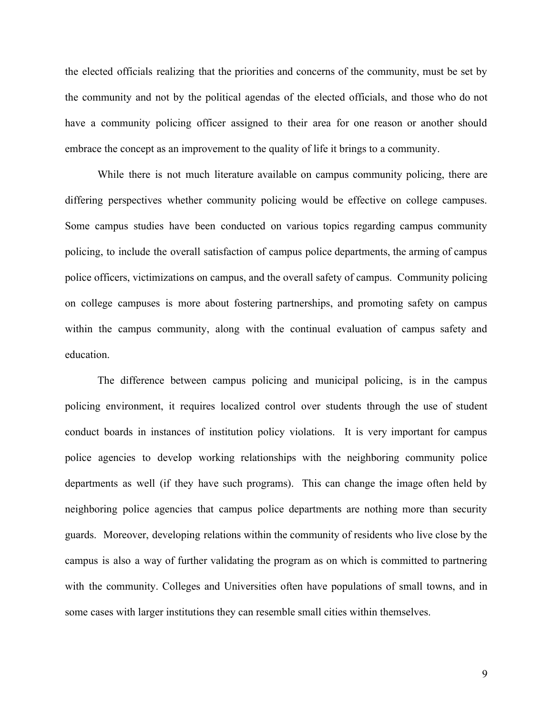the elected officials realizing that the priorities and concerns of the community, must be set by the community and not by the political agendas of the elected officials, and those who do not have a community policing officer assigned to their area for one reason or another should embrace the concept as an improvement to the quality of life it brings to a community.

While there is not much literature available on campus community policing, there are differing perspectives whether community policing would be effective on college campuses. Some campus studies have been conducted on various topics regarding campus community policing, to include the overall satisfaction of campus police departments, the arming of campus police officers, victimizations on campus, and the overall safety of campus. Community policing on college campuses is more about fostering partnerships, and promoting safety on campus within the campus community, along with the continual evaluation of campus safety and education.

The difference between campus policing and municipal policing, is in the campus policing environment, it requires localized control over students through the use of student conduct boards in instances of institution policy violations. It is very important for campus police agencies to develop working relationships with the neighboring community police departments as well (if they have such programs). This can change the image often held by neighboring police agencies that campus police departments are nothing more than security guards. Moreover, developing relations within the community of residents who live close by the campus is also a way of further validating the program as on which is committed to partnering with the community. Colleges and Universities often have populations of small towns, and in some cases with larger institutions they can resemble small cities within themselves.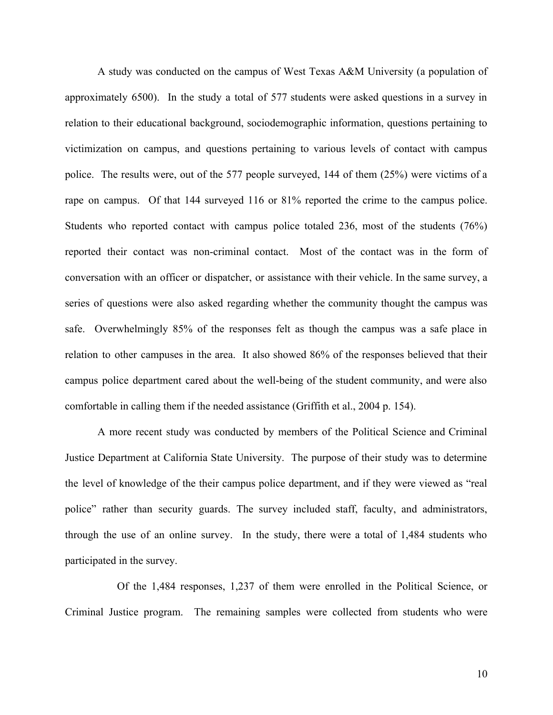A study was conducted on the campus of West Texas A&M University (a population of approximately 6500). In the study a total of 577 students were asked questions in a survey in relation to their educational background, sociodemographic information, questions pertaining to victimization on campus, and questions pertaining to various levels of contact with campus police. The results were, out of the 577 people surveyed, 144 of them (25%) were victims of a rape on campus. Of that 144 surveyed 116 or 81% reported the crime to the campus police. Students who reported contact with campus police totaled 236, most of the students (76%) reported their contact was non-criminal contact. Most of the contact was in the form of conversation with an officer or dispatcher, or assistance with their vehicle. In the same survey, a series of questions were also asked regarding whether the community thought the campus was safe. Overwhelmingly 85% of the responses felt as though the campus was a safe place in relation to other campuses in the area. It also showed 86% of the responses believed that their campus police department cared about the well-being of the student community, and were also comfortable in calling them if the needed assistance (Griffith et al., 2004 p. 154).

A more recent study was conducted by members of the Political Science and Criminal Justice Department at California State University. The purpose of their study was to determine the level of knowledge of the their campus police department, and if they were viewed as "real police" rather than security guards. The survey included staff, faculty, and administrators, through the use of an online survey. In the study, there were a total of 1,484 students who participated in the survey.

Of the 1,484 responses, 1,237 of them were enrolled in the Political Science, or Criminal Justice program. The remaining samples were collected from students who were

10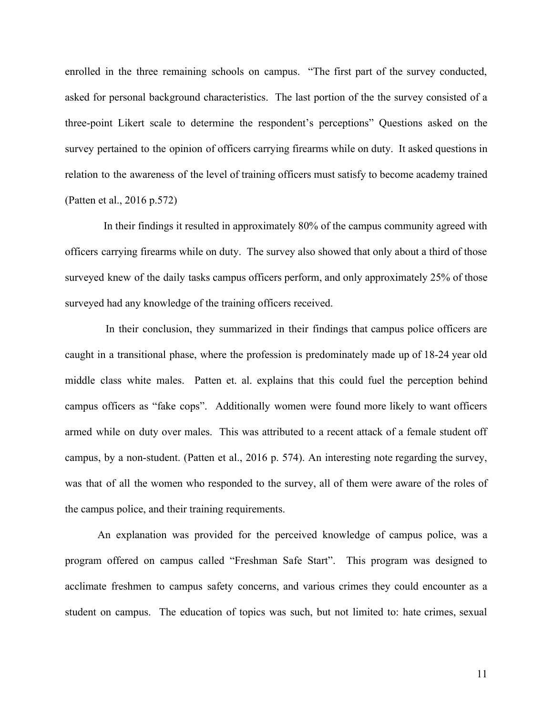enrolled in the three remaining schools on campus. "The first part of the survey conducted, asked for personal background characteristics. The last portion of the the survey consisted of a three-point Likert scale to determine the respondent's perceptions" Questions asked on the survey pertained to the opinion of officers carrying firearms while on duty. It asked questions in relation to the awareness of the level of training officers must satisfy to become academy trained (Patten et al., 2016 p.572)

In their findings it resulted in approximately 80% of the campus community agreed with officers carrying firearms while on duty. The survey also showed that only about a third of those surveyed knew of the daily tasks campus officers perform, and only approximately 25% of those surveyed had any knowledge of the training officers received.

In their conclusion, they summarized in their findings that campus police officers are caught in a transitional phase, where the profession is predominately made up of 18-24 year old middle class white males. Patten et. al. explains that this could fuel the perception behind campus officers as "fake cops". Additionally women were found more likely to want officers armed while on duty over males. This was attributed to a recent attack of a female student off campus, by a non-student. (Patten et al., 2016 p. 574). An interesting note regarding the survey, was that of all the women who responded to the survey, all of them were aware of the roles of the campus police, and their training requirements.

An explanation was provided for the perceived knowledge of campus police, was a program offered on campus called "Freshman Safe Start". This program was designed to acclimate freshmen to campus safety concerns, and various crimes they could encounter as a student on campus. The education of topics was such, but not limited to: hate crimes, sexual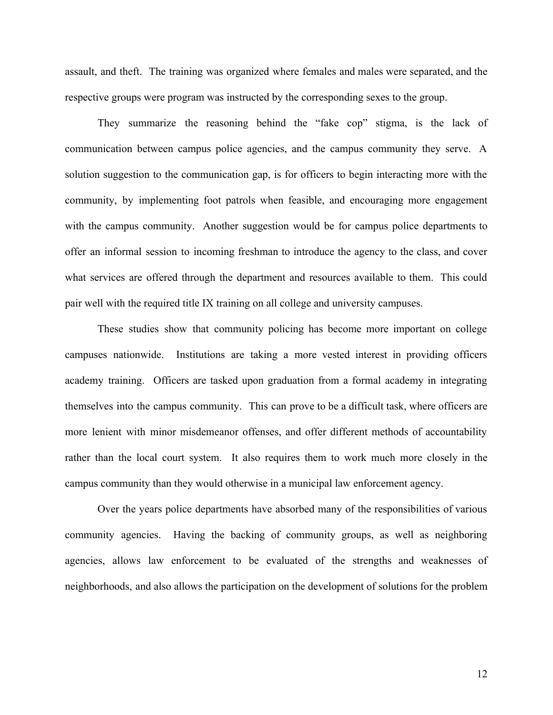assault, and theft. The training was organized where females and males were separated, and the respective groups were program was instructed by the corresponding sexes to the group.

They summarize the reasoning behind the "fake cop" stigma, is the lack of communication between campus police agencies, and the campus community they serve. A solution suggestion to the communication gap, is for officers to begin interacting more with the community, by implementing foot patrols when feasible, and encouraging more engagement with the campus community. Another suggestion would be for campus police departments to offer an informal session to incoming freshman to introduce the agency to the class, and cover what services are offered through the department and resources available to them. This could pair well with the required title IX training on all college and university campuses.

These studies show that community policing has become more important on college campuses nationwide. Institutions are taking a more vested interest in providing officers academy training. Officers are tasked upon graduation from a formal academy in integrating themselves into the campus community. This can prove to be a difficult task, where officers are more lenient with minor misdemeanor offenses, and offer different methods of accountability rather than the local court system. It also requires them to work much more closely in the campus community than they would otherwise in a municipal law enforcement agency.

Over the years police departments have absorbed many of the responsibilities of various community agencies. Having the backing of community groups, as well as neighboring agencies, allows law enforcement to be evaluated of the strengths and weaknesses of neighborhoods, and also allows the participation on the development of solutions for the problem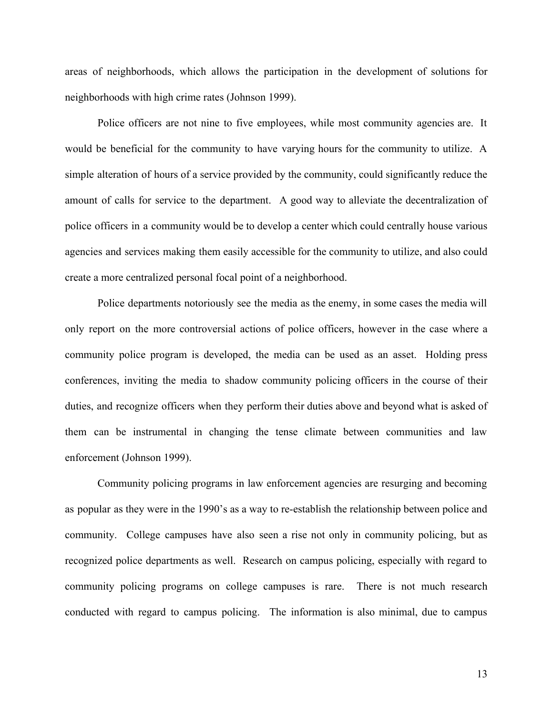areas of neighborhoods, which allows the participation in the development of solutions for neighborhoods with high crime rates (Johnson 1999).

Police officers are not nine to five employees, while most community agencies are. It would be beneficial for the community to have varying hours for the community to utilize. A simple alteration of hours of a service provided by the community, could significantly reduce the amount of calls for service to the department. A good way to alleviate the decentralization of police officers in a community would be to develop a center which could centrally house various agencies and services making them easily accessible for the community to utilize, and also could create a more centralized personal focal point of a neighborhood.

Police departments notoriously see the media as the enemy, in some cases the media will only report on the more controversial actions of police officers, however in the case where a community police program is developed, the media can be used as an asset. Holding press conferences, inviting the media to shadow community policing officers in the course of their duties, and recognize officers when they perform their duties above and beyond what is asked of them can be instrumental in changing the tense climate between communities and law enforcement (Johnson 1999).

Community policing programs in law enforcement agencies are resurging and becoming as popular as they were in the 1990's as a way to re-establish the relationship between police and community. College campuses have also seen a rise not only in community policing, but as recognized police departments as well. Research on campus policing, especially with regard to community policing programs on college campuses is rare. There is not much research conducted with regard to campus policing. The information is also minimal, due to campus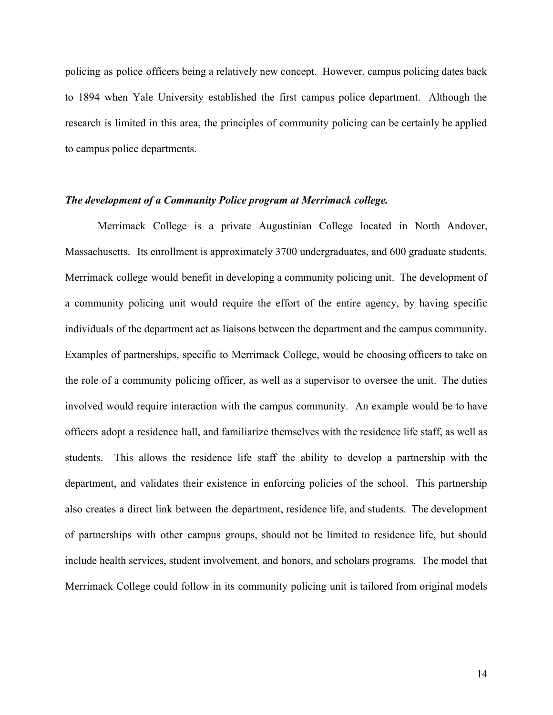policing as police officers being a relatively new concept. However, campus policing dates back to 1894 when Yale University established the first campus police department. Although the research is limited in this area, the principles of community policing can be certainly be applied to campus police departments.

#### *The development of a Community Police program at Merrimack college.*

Merrimack College is a private Augustinian College located in North Andover, Massachusetts. Its enrollment is approximately 3700 undergraduates, and 600 graduate students. Merrimack college would benefit in developing a community policing unit. The development of a community policing unit would require the effort of the entire agency, by having specific individuals of the department act as liaisons between the department and the campus community. Examples of partnerships, specific to Merrimack College, would be choosing officers to take on the role of a community policing officer, as well as a supervisor to oversee the unit. The duties involved would require interaction with the campus community. An example would be to have officers adopt a residence hall, and familiarize themselves with the residence life staff, as well as students. This allows the residence life staff the ability to develop a partnership with the department, and validates their existence in enforcing policies of the school. This partnership also creates a direct link between the department, residence life, and students. The development of partnerships with other campus groups, should not be limited to residence life, but should include health services, student involvement, and honors, and scholars programs. The model that Merrimack College could follow in its community policing unit is tailored from original models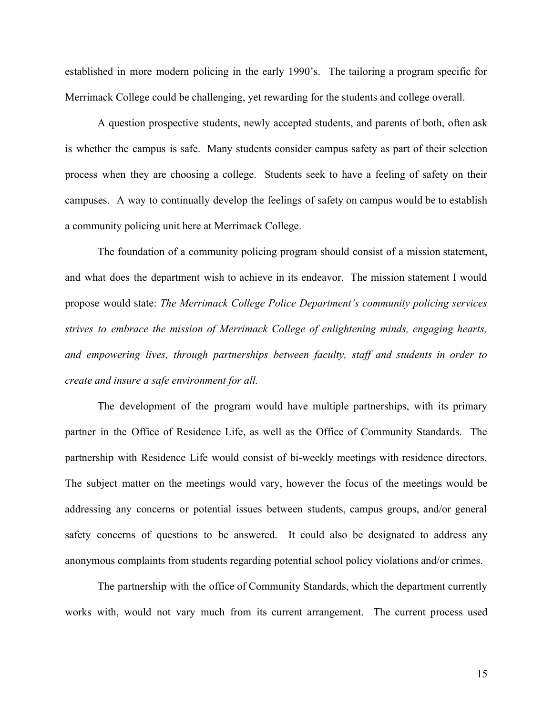established in more modern policing in the early 1990's. The tailoring a program specific for Merrimack College could be challenging, yet rewarding for the students and college overall.

A question prospective students, newly accepted students, and parents of both, often ask is whether the campus is safe. Many students consider campus safety as part of their selection process when they are choosing a college. Students seek to have a feeling of safety on their campuses. A way to continually develop the feelings of safety on campus would be to establish a community policing unit here at Merrimack College.

The foundation of a community policing program should consist of a mission statement, and what does the department wish to achieve in its endeavor. The mission statement I would propose would state: *The Merrimack College Police Department's community policing services strives to embrace the mission of Merrimack College of enlightening minds, engaging hearts, and empowering lives, through partnerships between faculty, staff and students in order to create and insure a safe environment for all.*

The development of the program would have multiple partnerships, with its primary partner in the Office of Residence Life, as well as the Office of Community Standards. The partnership with Residence Life would consist of bi-weekly meetings with residence directors. The subject matter on the meetings would vary, however the focus of the meetings would be addressing any concerns or potential issues between students, campus groups, and/or general safety concerns of questions to be answered. It could also be designated to address any anonymous complaints from students regarding potential school policy violations and/or crimes.

The partnership with the office of Community Standards, which the department currently works with, would not vary much from its current arrangement. The current process used

15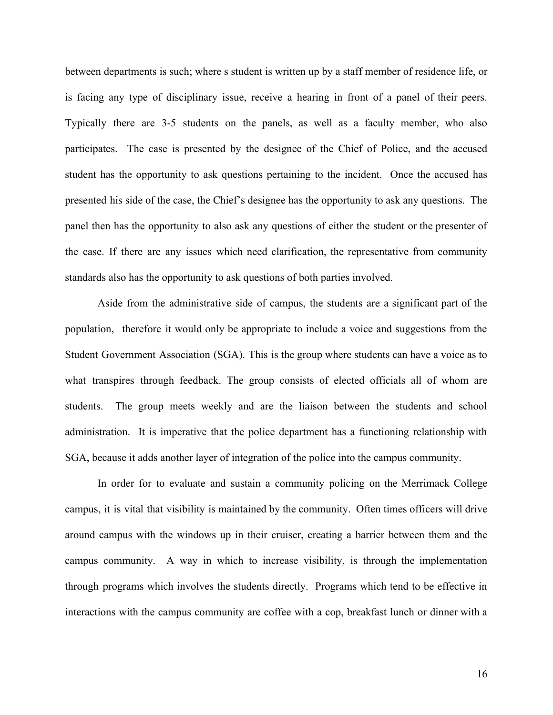between departments is such; where s student is written up by a staff member of residence life, or is facing any type of disciplinary issue, receive a hearing in front of a panel of their peers. Typically there are 3-5 students on the panels, as well as a faculty member, who also participates. The case is presented by the designee of the Chief of Police, and the accused student has the opportunity to ask questions pertaining to the incident. Once the accused has presented his side of the case, the Chief's designee has the opportunity to ask any questions. The panel then has the opportunity to also ask any questions of either the student or the presenter of the case. If there are any issues which need clarification, the representative from community standards also has the opportunity to ask questions of both parties involved.

Aside from the administrative side of campus, the students are a significant part of the population, therefore it would only be appropriate to include a voice and suggestions from the Student Government Association (SGA). This is the group where students can have a voice as to what transpires through feedback. The group consists of elected officials all of whom are students. The group meets weekly and are the liaison between the students and school administration. It is imperative that the police department has a functioning relationship with SGA, because it adds another layer of integration of the police into the campus community.

In order for to evaluate and sustain a community policing on the Merrimack College campus, it is vital that visibility is maintained by the community. Often times officers will drive around campus with the windows up in their cruiser, creating a barrier between them and the campus community. A way in which to increase visibility, is through the implementation through programs which involves the students directly. Programs which tend to be effective in interactions with the campus community are coffee with a cop, breakfast lunch or dinner with a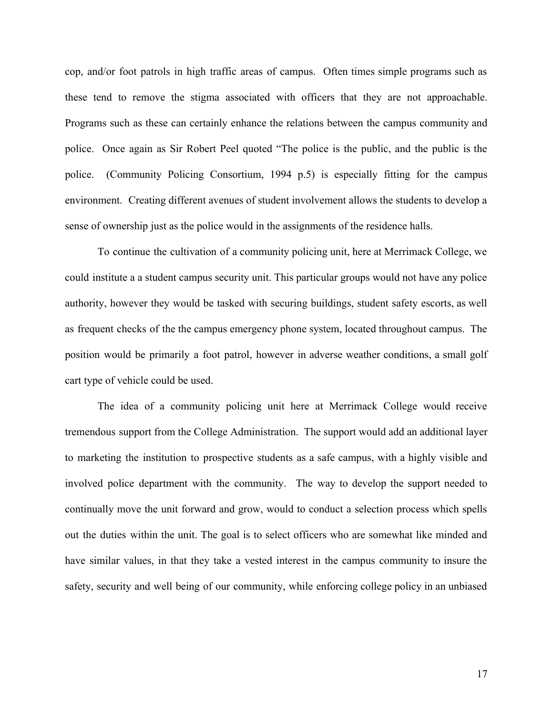cop, and/or foot patrols in high traffic areas of campus. Often times simple programs such as these tend to remove the stigma associated with officers that they are not approachable. Programs such as these can certainly enhance the relations between the campus community and police. Once again as Sir Robert Peel quoted "The police is the public, and the public is the police. (Community Policing Consortium, 1994 p.5) is especially fitting for the campus environment. Creating different avenues of student involvement allows the students to develop a sense of ownership just as the police would in the assignments of the residence halls.

To continue the cultivation of a community policing unit, here at Merrimack College, we could institute a a student campus security unit. This particular groups would not have any police authority, however they would be tasked with securing buildings, student safety escorts, as well as frequent checks of the the campus emergency phone system, located throughout campus. The position would be primarily a foot patrol, however in adverse weather conditions, a small golf cart type of vehicle could be used.

The idea of a community policing unit here at Merrimack College would receive tremendous support from the College Administration. The support would add an additional layer to marketing the institution to prospective students as a safe campus, with a highly visible and involved police department with the community. The way to develop the support needed to continually move the unit forward and grow, would to conduct a selection process which spells out the duties within the unit. The goal is to select officers who are somewhat like minded and have similar values, in that they take a vested interest in the campus community to insure the safety, security and well being of our community, while enforcing college policy in an unbiased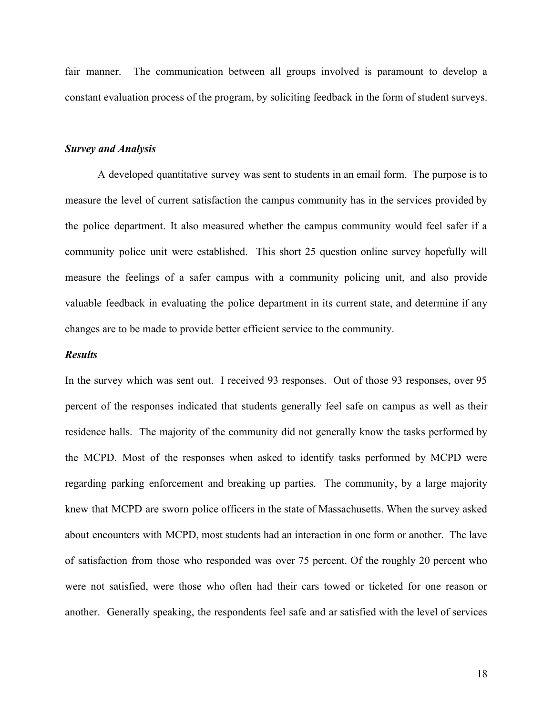fair manner. The communication between all groups involved is paramount to develop a constant evaluation process of the program, by soliciting feedback in the form of student surveys.

## *Survey and Analysis*

A developed quantitative survey was sent to students in an email form. The purpose is to measure the level of current satisfaction the campus community has in the services provided by the police department. It also measured whether the campus community would feel safer if a community police unit were established. This short 25 question online survey hopefully will measure the feelings of a safer campus with a community policing unit, and also provide valuable feedback in evaluating the police department in its current state, and determine if any changes are to be made to provide better efficient service to the community.

#### *Results*

In the survey which was sent out. I received 93 responses. Out of those 93 responses, over 95 percent of the responses indicated that students generally feel safe on campus as well as their residence halls. The majority of the community did not generally know the tasks performed by the MCPD. Most of the responses when asked to identify tasks performed by MCPD were regarding parking enforcement and breaking up parties. The community, by a large majority knew that MCPD are sworn police officers in the state of Massachusetts. When the survey asked about encounters with MCPD, most students had an interaction in one form or another. The lave of satisfaction from those who responded was over 75 percent. Of the roughly 20 percent who were not satisfied, were those who often had their cars towed or ticketed for one reason or another. Generally speaking, the respondents feel safe and ar satisfied with the level of services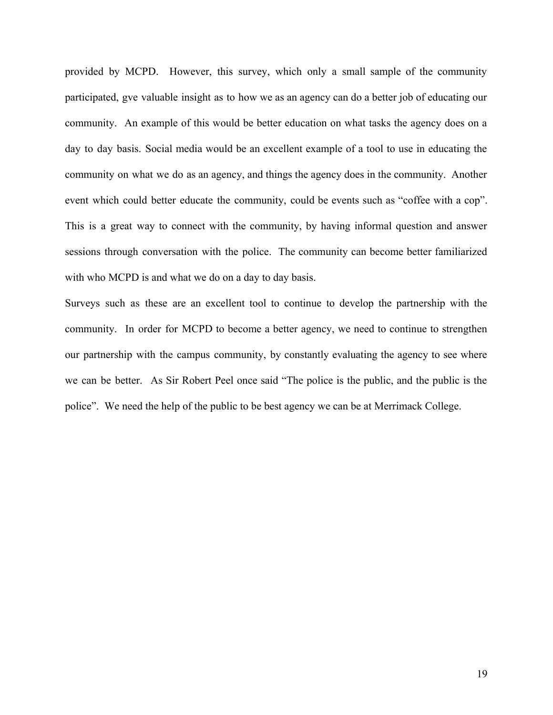provided by MCPD. However, this survey, which only a small sample of the community participated, gve valuable insight as to how we as an agency can do a better job of educating our community. An example of this would be better education on what tasks the agency does on a day to day basis. Social media would be an excellent example of a tool to use in educating the community on what we do as an agency, and things the agency does in the community. Another event which could better educate the community, could be events such as "coffee with a cop". This is a great way to connect with the community, by having informal question and answer sessions through conversation with the police. The community can become better familiarized with who MCPD is and what we do on a day to day basis.

Surveys such as these are an excellent tool to continue to develop the partnership with the community. In order for MCPD to become a better agency, we need to continue to strengthen our partnership with the campus community, by constantly evaluating the agency to see where we can be better. As Sir Robert Peel once said "The police is the public, and the public is the police". We need the help of the public to be best agency we can be at Merrimack College.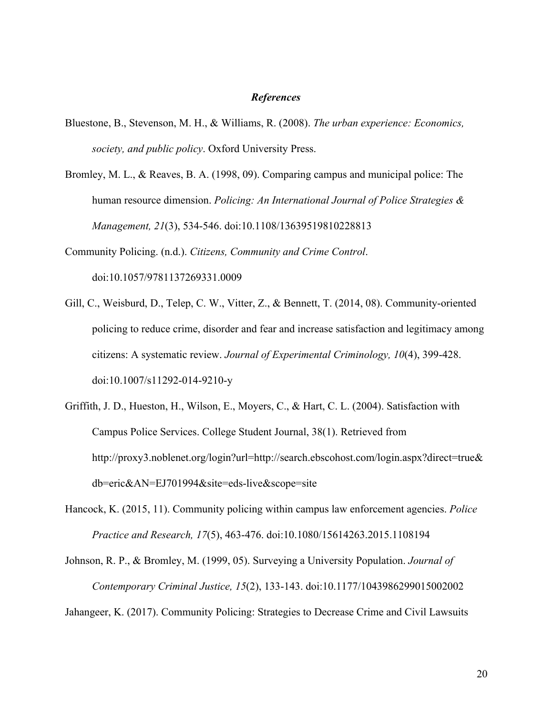#### *References*

- Bluestone, B., Stevenson, M. H., & Williams, R. (2008). *The urban experience: Economics, society, and public policy*. Oxford University Press.
- Bromley, M. L., & Reaves, B. A. (1998, 09). Comparing campus and municipal police: The human resource dimension. *Policing: An International Journal of Police Strategies & Management, 21*(3), 534-546. doi:10.1108/13639519810228813

Community Policing. (n.d.). *Citizens, Community and Crime Control*. doi:10.1057/9781137269331.0009

- Gill, C., Weisburd, D., Telep, C. W., Vitter, Z., & Bennett, T. (2014, 08). Community-oriented policing to reduce crime, disorder and fear and increase satisfaction and legitimacy among citizens: A systematic review. *Journal of Experimental Criminology, 10*(4), 399-428. doi:10.1007/s11292-014-9210-y
- Griffith, J. D., Hueston, H., Wilson, E., Moyers, C., & Hart, C. L. (2004). Satisfaction with Campus Police Services. College Student Journal, 38(1). Retrieved from http://proxy3.noblenet.org/login?url=http://search.ebscohost.com/login.aspx?direct=true& db=eric&AN=EJ701994&site=eds-live&scope=site
- Hancock, K. (2015, 11). Community policing within campus law enforcement agencies. *Police Practice and Research, 17*(5), 463-476. doi:10.1080/15614263.2015.1108194

Johnson, R. P., & Bromley, M. (1999, 05). Surveying a University Population. *Journal of Contemporary Criminal Justice, 15*(2), 133-143. doi:10.1177/1043986299015002002 Jahangeer, K. (2017). Community Policing: Strategies to Decrease Crime and Civil Lawsuits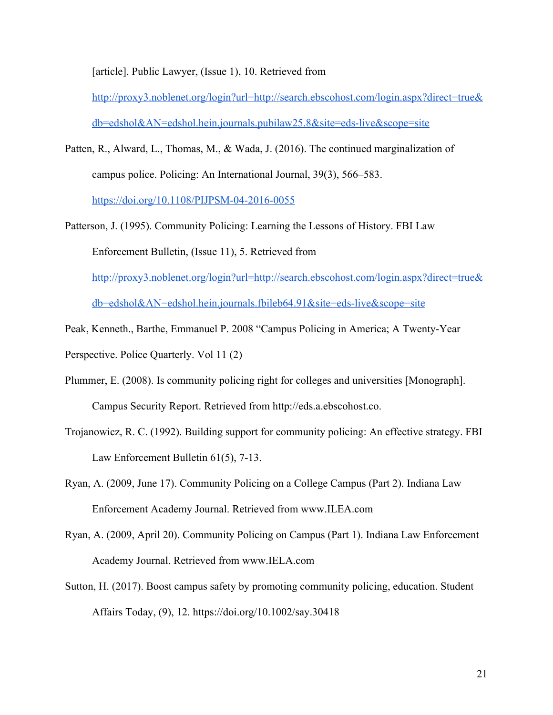[article]. Public Lawyer, (Issue 1), 10. Retrieved from

[http://proxy3.noblenet.org/login?url=http://search.ebscohost.com/login.aspx?direct=true&](http://proxy3.noblenet.org/login?url=http://search.ebscohost.com/login.aspx?direct=true&db=edshol&AN=edshol.hein.journals.pubilaw25.8&site=eds-live&scope=site) [db=edshol&AN=edshol.hein.journals.pubilaw25.8&site=eds-live&scope=site](http://proxy3.noblenet.org/login?url=http://search.ebscohost.com/login.aspx?direct=true&db=edshol&AN=edshol.hein.journals.pubilaw25.8&site=eds-live&scope=site)

- Patten, R., Alward, L., Thomas, M., & Wada, J. (2016). The continued marginalization of campus police. Policing: An International Journal, 39(3), 566–583. <https://doi.org/10.1108/PIJPSM-04-2016-0055>
- Patterson, J. (1995). Community Policing: Learning the Lessons of History. FBI Law Enforcement Bulletin, (Issue 11), 5. Retrieved from [http://proxy3.noblenet.org/login?url=http://search.ebscohost.com/login.aspx?direct=true&](http://proxy3.noblenet.org/login?url=http://search.ebscohost.com/login.aspx?direct=true&db=edshol&AN=edshol.hein.journals.fbileb64.91&site=eds-live&scope=site) [db=edshol&AN=edshol.hein.journals.fbileb64.91&site=eds-live&scope=site](http://proxy3.noblenet.org/login?url=http://search.ebscohost.com/login.aspx?direct=true&db=edshol&AN=edshol.hein.journals.fbileb64.91&site=eds-live&scope=site)
- Peak, Kenneth., Barthe, Emmanuel P. 2008 "Campus Policing in America; A Twenty-Year Perspective. Police Quarterly. Vol 11 (2)
- Plummer, E. (2008). Is community policing right for colleges and universities [Monograph]. Campus Security Report. Retrieved from http://eds.a.ebscohost.co.
- Trojanowicz, R. C. (1992). Building support for community policing: An effective strategy. FBI Law Enforcement Bulletin 61(5), 7-13.
- Ryan, A. (2009, June 17). Community Policing on a College Campus (Part 2). Indiana Law Enforcement Academy Journal. Retrieved from www.ILEA.com
- Ryan, A. (2009, April 20). Community Policing on Campus (Part 1). Indiana Law Enforcement Academy Journal. Retrieved from www.IELA.com
- Sutton, H. (2017). Boost campus safety by promoting community policing, education. Student Affairs Today, (9), 12. https://doi.org/10.1002/say.30418